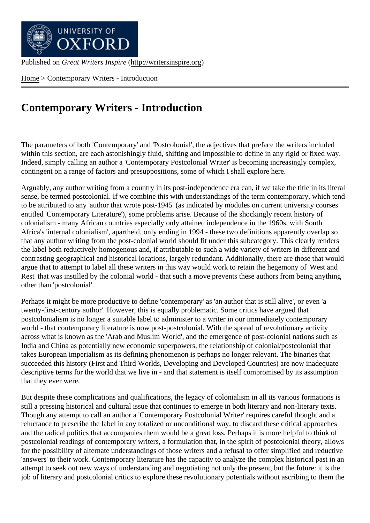Home > Contemporary Writers - Introduction

## [Con](http://writersinspire.org/)temporary Writers - Introduction

The parameters of both 'Contemporary' and 'Postcolonial', the adjectives that preface the writers included within this section, are each astonishingly fluid, shifting and impossible to define in any rigid or fixed way. Indeed, simply calling an author a 'Contemporary Postcolonial Writer' is becoming increasingly complex, contingent on a range of factors and presuppositions, some of which I shall explore here.

Arguably, any author writing from a country in its post-independence era can, if we take the title in its literal sense, be termed postcolonial. If we combine this with understandings of the term contemporary, which tend to be attributed to any 'author that wrote post-1945' (as indicated by modules on current university courses entitled 'Contemporary Literature'), some problems arise. Because of the shockingly recent history of colonialism - many African countries especially only attained independence in the 1960s, with South Africa's 'internal colonialism', apartheid, only ending in 1994 - these two definitions apparently overlap so that any author writing from the post-colonial world should fit under this subcategory. This clearly renders the label both reductively homogenous and, if attributable to such a wide variety of writers in different and contrasting geographical and historical locations, largely redundant. Additionally, there are those that would argue that to attempt to label all these writers in this way would work to retain the hegemony of 'West and Rest' that was instilled by the colonial world - that such a move prevents these authors from being anything other than 'postcolonial'.

Perhaps it might be more productive to define 'contemporary' as 'an author that is still alive', or even 'a twenty-first-century author'. However, this is equally problematic. Some critics have argued that postcolonialism is no longer a suitable label to administer to a writer in our immediately contemporary world - that contemporary literature is now post-postcolonial. With the spread of revolutionary activity across what is known as the 'Arab and Muslim World', and the emergence of post-colonial nations such as India and China as potentially new economic superpowers, the relationship of colonial/postcolonial that takes European imperialism as its defining phenomenon is perhaps no longer relevant. The binaries that succeeded this history (First and Third Worlds, Developing and Developed Countries) are now inadequate descriptive terms for the world that we live in - and that statement is itself compromised by its assumption that they ever were.

But despite these complications and qualifications, the legacy of colonialism in all its various formations is still a pressing historical and cultural issue that continues to emerge in both literary and non-literary texts. Though any attempt to call an author a 'Contemporary Postcolonial Writer' requires careful thought and a reluctance to prescribe the label in any totalized or unconditional way, to discard these critical approaches and the radical politics that accompanies them would be a great loss. Perhaps it is more helpful to think of postcolonial readings of contemporary writers, a formulation that, in the spirit of postcolonial theory, allows for the possibility of alternate understandings of those writers and a refusal to offer simplified and reductive 'answers' to their work. Contemporary literature has the capacity to analyze the complex historical past in an attempt to seek out new ways of understanding and negotiating not only the present, but the future: it is the job of literary and postcolonial critics to explore these revolutionary potentials without ascribing to them the